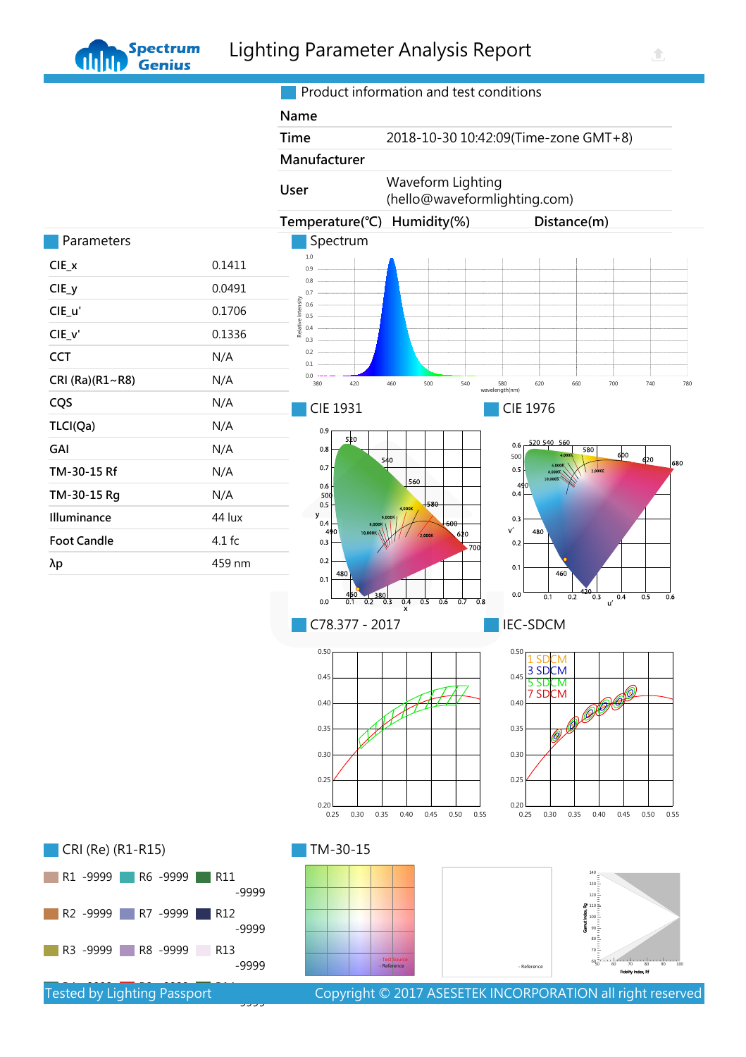Product information and test conditions

仓